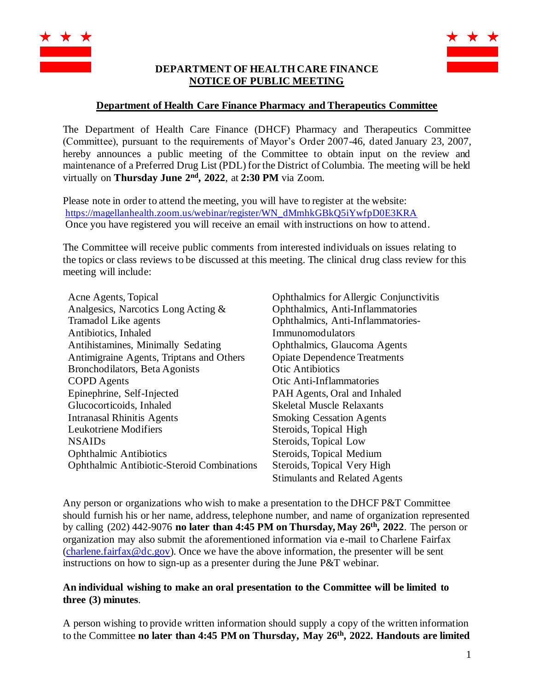

## **DEPARTMENT OF HEALTH CARE FINANCE NOTICE OF PUBLIC MEETING**



## **Department of Health Care Finance Pharmacy and Therapeutics Committee**

The Department of Health Care Finance (DHCF) Pharmacy and Therapeutics Committee (Committee), pursuant to the requirements of Mayor's Order 2007-46, dated January 23, 2007, hereby announces a public meeting of the Committee to obtain input on the review and maintenance of a Preferred Drug List (PDL) for the District of Columbia. The meeting will be held virtually on **Thursday June 2<sup>nd</sup>, 2022**, at 2:30 PM via Zoom.

Please note in order to attend the meeting, you will have to register at the website: [https://magellanhealth.zoom.us/webinar/register/WN\\_dMmhkGBkQ5iYwfpD0E3KRA](https://magellanhealth.zoom.us/webinar/register/WN_dMmhkGBkQ5iYwfpD0E3KRA) Once you have registered you will receive an email with instructions on how to attend.

The Committee will receive public comments from interested individuals on issues relating to the topics or class reviews to be discussed at this meeting. The clinical drug class review for this meeting will include:

| Acne Agents, Topical                              | Ophthalmics for Allergic Conjunctivitis |
|---------------------------------------------------|-----------------------------------------|
| Analgesics, Narcotics Long Acting &               | Ophthalmics, Anti-Inflammatories        |
| Tramadol Like agents                              | Ophthalmics, Anti-Inflammatories-       |
| Antibiotics, Inhaled                              | Immunomodulators                        |
| Antihistamines, Minimally Sedating                | Ophthalmics, Glaucoma Agents            |
| Antimigraine Agents, Triptans and Others          | <b>Opiate Dependence Treatments</b>     |
| Bronchodilators, Beta Agonists                    | <b>Otic Antibiotics</b>                 |
| <b>COPD</b> Agents                                | <b>Otic Anti-Inflammatories</b>         |
| Epinephrine, Self-Injected                        | PAH Agents, Oral and Inhaled            |
| Glucocorticoids, Inhaled                          | <b>Skeletal Muscle Relaxants</b>        |
| <b>Intranasal Rhinitis Agents</b>                 | <b>Smoking Cessation Agents</b>         |
| Leukotriene Modifiers                             | Steroids, Topical High                  |
| <b>NSAIDs</b>                                     | Steroids, Topical Low                   |
| <b>Ophthalmic Antibiotics</b>                     | Steroids, Topical Medium                |
| <b>Ophthalmic Antibiotic-Steroid Combinations</b> | Steroids, Topical Very High             |
|                                                   | <b>Stimulants and Related Agents</b>    |

Any person or organizations who wish to make a presentation to the DHCF P&T Committee should furnish his or her name, address, telephone number, and name of organization represented by calling (202) 442-9076 **no later than 4:45 PM on Thursday, May 26 th, 2022**. The person or organization may also submit the aforementioned information via e-mail to Charlene Fairfax [\(charlene.fairfax@dc.gov\)](mailto:charlene.fairfax@dc.gov). Once we have the above information, the presenter will be sent instructions on how to sign-up as a presenter during the June P&T webinar.

## **An individual wishing to make an oral presentation to the Committee will be limited to three (3) minutes**.

A person wishing to provide written information should supply a copy of the written information to the Committee **no later than 4:45 PM on Thursday, May 26 th, 2022. Handouts are limited**